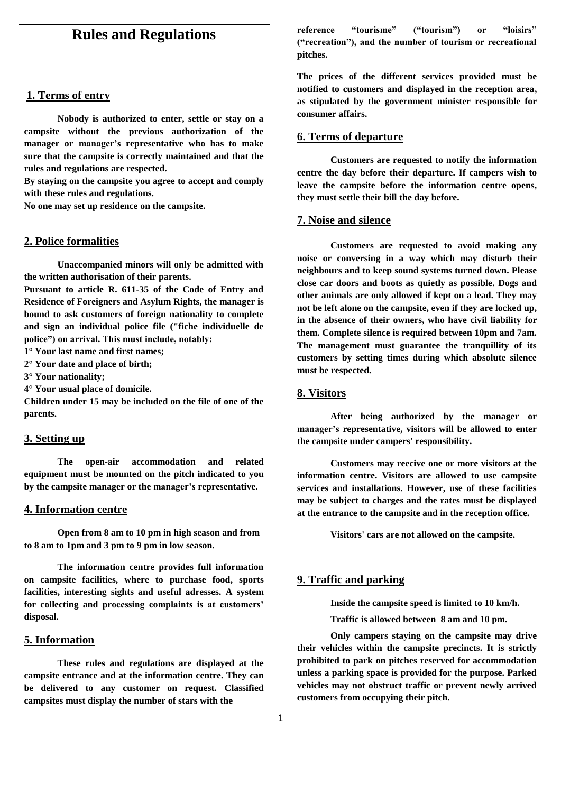# **Rules and Regulations**

## **1. Terms of entry**

**Nobody is authorized to enter, settle or stay on a campsite without the previous authorization of the manager or manager's representative who has to make sure that the campsite is correctly maintained and that the rules and regulations are respected.**

**By staying on the campsite you agree to accept and comply with these rules and regulations.**

**No one may set up residence on the campsite.**

# **2. Police formalities**

**Unaccompanied minors will only be admitted with the written authorisation of their parents.**

**Pursuant to article R. 611-35 of the Code of Entry and Residence of Foreigners and Asylum Rights, the manager is bound to ask customers of foreign nationality to complete and sign an individual police file ("fiche individuelle de police") on arrival. This must include, notably:**

**1° Your last name and first names;**

**2° Your date and place of birth;**

**3° Your nationality;**

**4° Your usual place of domicile.**

**Children under 15 may be included on the file of one of the parents.**

## **3. Setting up**

**The open-air accommodation and related equipment must be mounted on the pitch indicated to you by the campsite manager or the manager's representative.**

## **4. Information centre**

**Open from 8 am to 10 pm in high season and from to 8 am to 1pm and 3 pm to 9 pm in low season.** 

**The information centre provides full information on campsite facilities, where to purchase food, sports facilities, interesting sights and useful adresses. A system for collecting and processing complaints is at customers' disposal.**

# **5. Information**

**These rules and regulations are displayed at the campsite entrance and at the information centre. They can be delivered to any customer on request. Classified campsites must display the number of stars with the** 

**reference "tourisme" ("tourism") or "loisirs" ("recreation"), and the number of tourism or recreational pitches.**

**The prices of the different services provided must be notified to customers and displayed in the reception area, as stipulated by the government minister responsible for consumer affairs.** 

#### **6. Terms of departure**

**Customers are requested to notify the information centre the day before their departure. If campers wish to leave the campsite before the information centre opens, they must settle their bill the day before.**

### **7. Noise and silence**

**Customers are requested to avoid making any noise or conversing in a way which may disturb their neighbours and to keep sound systems turned down. Please close car doors and boots as quietly as possible. Dogs and other animals are only allowed if kept on a lead. They may not be left alone on the campsite, even if they are locked up, in the absence of their owners, who have civil liability for them. Complete silence is required between 10pm and 7am. The management must guarantee the tranquillity of its customers by setting times during which absolute silence must be respected.**

#### **8. Visitors**

**After being authorized by the manager or manager's representative, visitors will be allowed to enter the campsite under campers' responsibility.**

**Customers may reecive one or more visitors at the information centre. Visitors are allowed to use campsite services and installations. However, use of these facilities may be subject to charges and the rates must be displayed at the entrance to the campsite and in the reception office.**

**Visitors' cars are not allowed on the campsite.**

### **9. Traffic and parking**

**Inside the campsite speed is limited to 10 km/h.**

**Traffic is allowed between 8 am and 10 pm.** 

**Only campers staying on the campsite may drive their vehicles within the campsite precincts. It is strictly prohibited to park on pitches reserved for accommodation unless a parking space is provided for the purpose. Parked vehicles may not obstruct traffic or prevent newly arrived customers from occupying their pitch.**